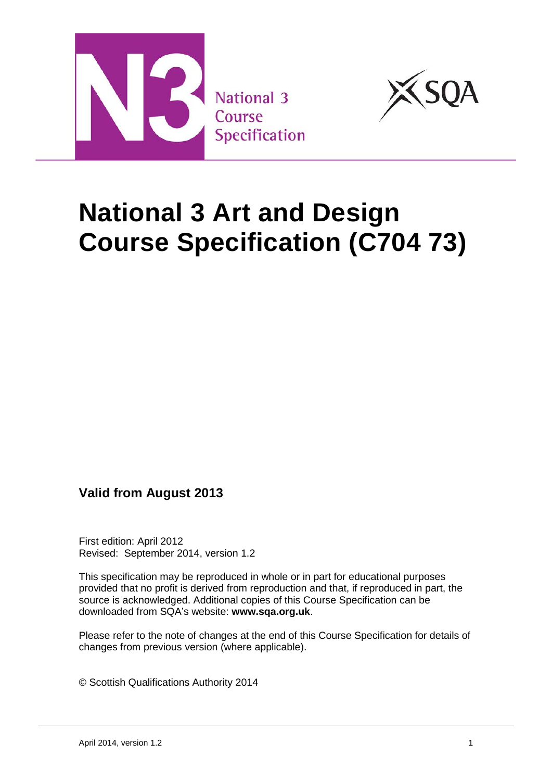



# **National 3 Art and Design Course Specification (C704 73)**

## **Valid from August 2013**

First edition: April 2012 Revised: September 2014, version 1.2

This specification may be reproduced in whole or in part for educational purposes provided that no profit is derived from reproduction and that, if reproduced in part, the source is acknowledged. Additional copies of this Course Specification can be downloaded from SQA's website: **[www.sqa.org.uk](http://www.sqa.org.uk/)**.

Please refer to the note of changes at the end of this Course Specification for details of changes from previous version (where applicable).

© Scottish Qualifications Authority 2014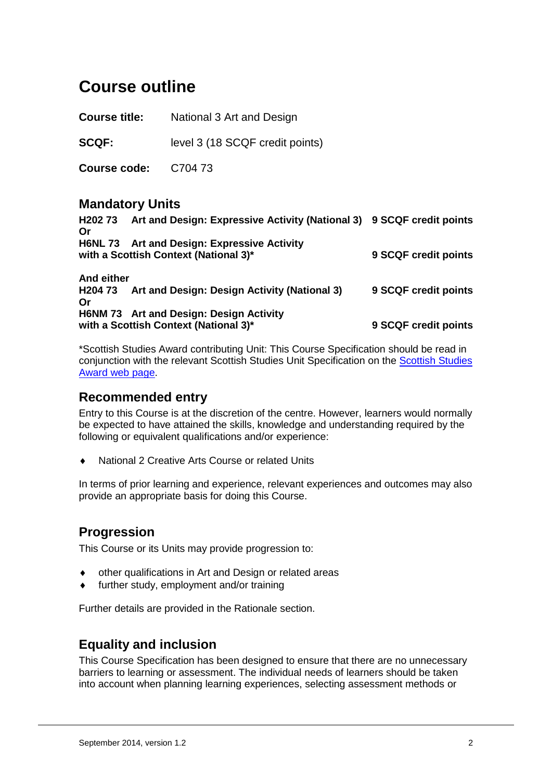## **Course outline**

**Course title:** National 3 Art and Design

**SCQF:** level 3 (18 SCQF credit points)

**Course code:** C704 73

### **Mandatory Units**

| Or               | H202 73 Art and Design: Expressive Activity (National 3) 9 SCQF credit points        |                      |
|------------------|--------------------------------------------------------------------------------------|----------------------|
|                  | H6NL 73 Art and Design: Expressive Activity<br>with a Scottish Context (National 3)* | 9 SCQF credit points |
| And either<br>Or | H204 73 Art and Design: Design Activity (National 3)                                 | 9 SCQF credit points |
|                  | H6NM 73 Art and Design: Design Activity<br>with a Scottish Context (National 3)*     | 9 SCQF credit points |

\*Scottish Studies Award contributing Unit: This Course Specification should be read in conjunction with the relevant [Scottish Studies](http://www.sqa.org.uk/sqa/64329.html) Unit Specification on the Scottish Studies [Award web](http://www.sqa.org.uk/sqa/64329.html) page.

### **Recommended entry**

Entry to this Course is at the discretion of the centre. However, learners would normally be expected to have attained the skills, knowledge and understanding required by the following or equivalent qualifications and/or experience:

National 2 Creative Arts Course or related Units

In terms of prior learning and experience, relevant experiences and outcomes may also provide an appropriate basis for doing this Course.

## **Progression**

This Course or its Units may provide progression to:

- other qualifications in Art and Design or related areas
- further study, employment and/or training

Further details are provided in the Rationale section.

### **Equality and inclusion**

This Course Specification has been designed to ensure that there are no unnecessary barriers to learning or assessment. The individual needs of learners should be taken into account when planning learning experiences, selecting assessment methods or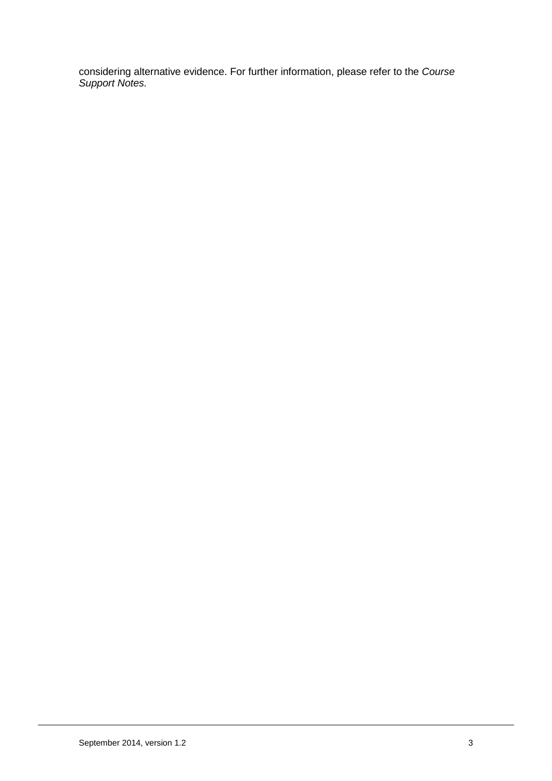considering alternative evidence. For further information, please refer to the *Course Support Notes.*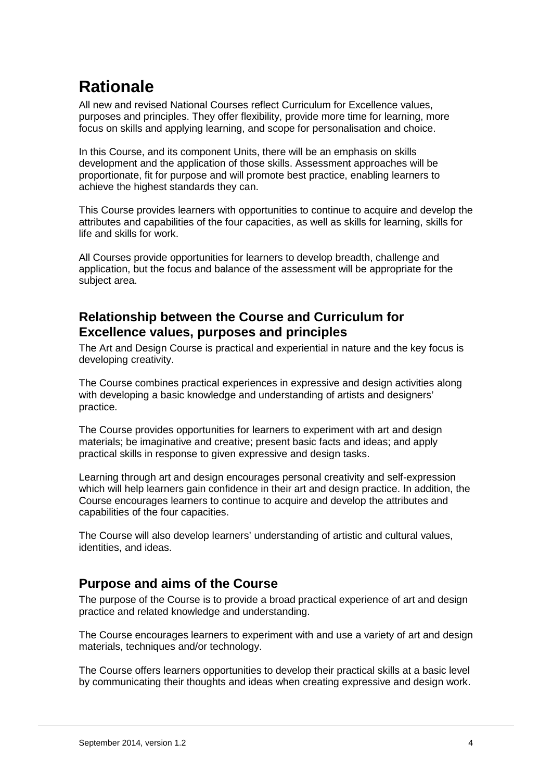## **Rationale**

All new and revised National Courses reflect Curriculum for Excellence values, purposes and principles. They offer flexibility, provide more time for learning, more focus on skills and applying learning, and scope for personalisation and choice.

In this Course, and its component Units, there will be an emphasis on skills development and the application of those skills. Assessment approaches will be proportionate, fit for purpose and will promote best practice, enabling learners to achieve the highest standards they can.

This Course provides learners with opportunities to continue to acquire and develop the attributes and capabilities of the four capacities, as well as skills for learning, skills for life and skills for work.

All Courses provide opportunities for learners to develop breadth, challenge and application, but the focus and balance of the assessment will be appropriate for the subject area.

## **Relationship between the Course and Curriculum for Excellence values, purposes and principles**

The Art and Design Course is practical and experiential in nature and the key focus is developing creativity.

The Course combines practical experiences in expressive and design activities along with developing a basic knowledge and understanding of artists and designers' practice.

The Course provides opportunities for learners to experiment with art and design materials; be imaginative and creative; present basic facts and ideas; and apply practical skills in response to given expressive and design tasks.

Learning through art and design encourages personal creativity and self-expression which will help learners gain confidence in their art and design practice. In addition, the Course encourages learners to continue to acquire and develop the attributes and capabilities of the four capacities.

The Course will also develop learners' understanding of artistic and cultural values, identities, and ideas.

## **Purpose and aims of the Course**

The purpose of the Course is to provide a broad practical experience of art and design practice and related knowledge and understanding.

The Course encourages learners to experiment with and use a variety of art and design materials, techniques and/or technology.

The Course offers learners opportunities to develop their practical skills at a basic level by communicating their thoughts and ideas when creating expressive and design work.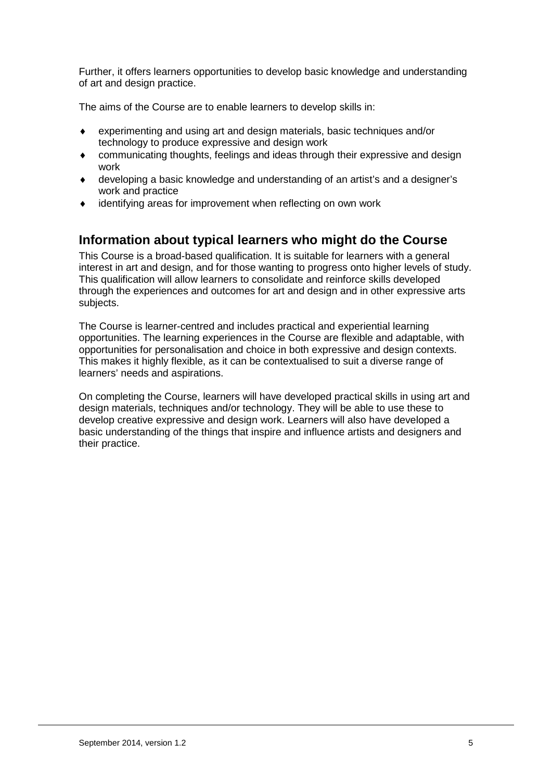Further, it offers learners opportunities to develop basic knowledge and understanding of art and design practice.

The aims of the Course are to enable learners to develop skills in:

- ♦ experimenting and using art and design materials, basic techniques and/or technology to produce expressive and design work
- communicating thoughts, feelings and ideas through their expressive and design work
- developing a basic knowledge and understanding of an artist's and a designer's work and practice
- identifying areas for improvement when reflecting on own work

## **Information about typical learners who might do the Course**

This Course is a broad-based qualification. It is suitable for learners with a general interest in art and design, and for those wanting to progress onto higher levels of study. This qualification will allow learners to consolidate and reinforce skills developed through the experiences and outcomes for art and design and in other expressive arts subjects.

The Course is learner-centred and includes practical and experiential learning opportunities. The learning experiences in the Course are flexible and adaptable, with opportunities for personalisation and choice in both expressive and design contexts. This makes it highly flexible, as it can be contextualised to suit a diverse range of learners' needs and aspirations.

On completing the Course, learners will have developed practical skills in using art and design materials, techniques and/or technology. They will be able to use these to develop creative expressive and design work. Learners will also have developed a basic understanding of the things that inspire and influence artists and designers and their practice.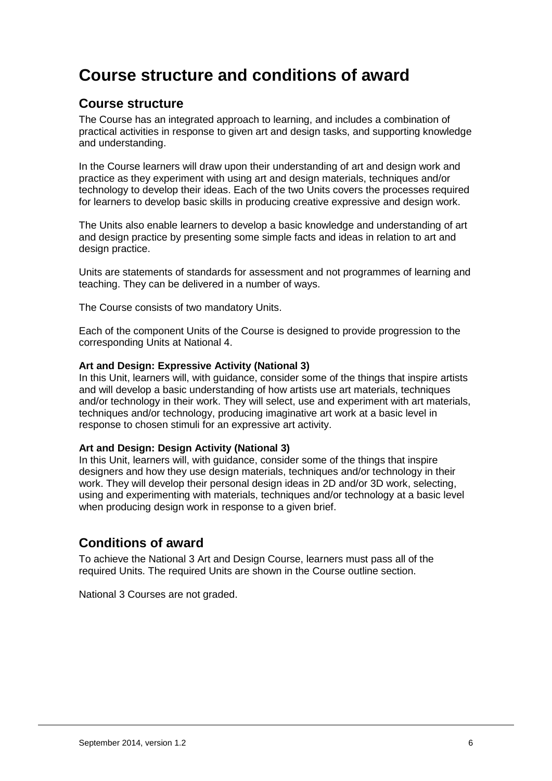## **Course structure and conditions of award**

### **Course structure**

The Course has an integrated approach to learning, and includes a combination of practical activities in response to given art and design tasks, and supporting knowledge and understanding.

In the Course learners will draw upon their understanding of art and design work and practice as they experiment with using art and design materials, techniques and/or technology to develop their ideas. Each of the two Units covers the processes required for learners to develop basic skills in producing creative expressive and design work.

The Units also enable learners to develop a basic knowledge and understanding of art and design practice by presenting some simple facts and ideas in relation to art and design practice.

Units are statements of standards for assessment and not programmes of learning and teaching. They can be delivered in a number of ways.

The Course consists of two mandatory Units.

Each of the component Units of the Course is designed to provide progression to the corresponding Units at National 4.

#### **Art and Design: Expressive Activity (National 3)**

In this Unit, learners will, with guidance, consider some of the things that inspire artists and will develop a basic understanding of how artists use art materials, techniques and/or technology in their work. They will select, use and experiment with art materials, techniques and/or technology, producing imaginative art work at a basic level in response to chosen stimuli for an expressive art activity.

#### **Art and Design: Design Activity (National 3)**

In this Unit, learners will, with guidance, consider some of the things that inspire designers and how they use design materials, techniques and/or technology in their work. They will develop their personal design ideas in 2D and/or 3D work, selecting, using and experimenting with materials, techniques and/or technology at a basic level when producing design work in response to a given brief.

### **Conditions of award**

To achieve the National 3 Art and Design Course, learners must pass all of the required Units. The required Units are shown in the Course outline section.

National 3 Courses are not graded.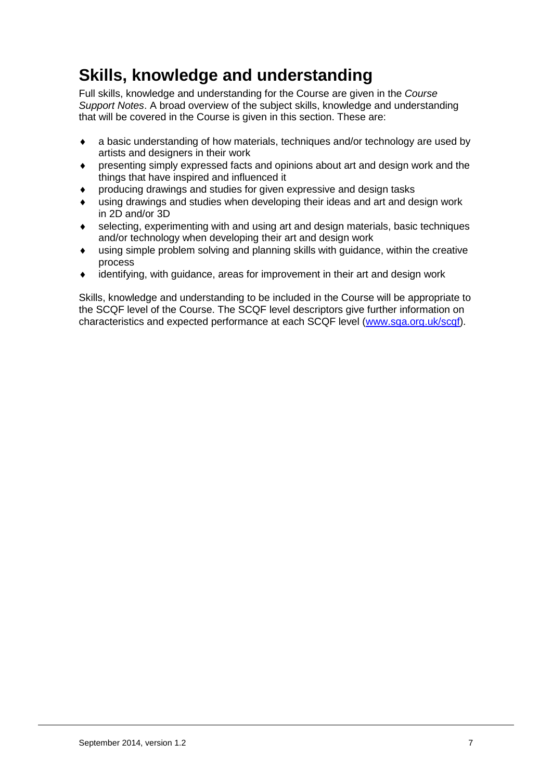## **Skills, knowledge and understanding**

Full skills, knowledge and understanding for the Course are given in the *Course Support Notes*. A broad overview of the subject skills, knowledge and understanding that will be covered in the Course is given in this section. These are:

- a basic understanding of how materials, techniques and/or technology are used by artists and designers in their work
- ♦ presenting simply expressed facts and opinions about art and design work and the things that have inspired and influenced it
- producing drawings and studies for given expressive and design tasks
- ♦ using drawings and studies when developing their ideas and art and design work in 2D and/or 3D
- selecting, experimenting with and using art and design materials, basic techniques and/or technology when developing their art and design work
- $\bullet$  using simple problem solving and planning skills with guidance, within the creative process
- ♦ identifying, with guidance, areas for improvement in their art and design work

Skills, knowledge and understanding to be included in the Course will be appropriate to the SCQF level of the Course. The SCQF level descriptors give further information on characteristics and expected performance at each SCQF level [\(www.sqa.org.uk/scqf\)](http://www.sqa.org.uk/sqa/4595.html).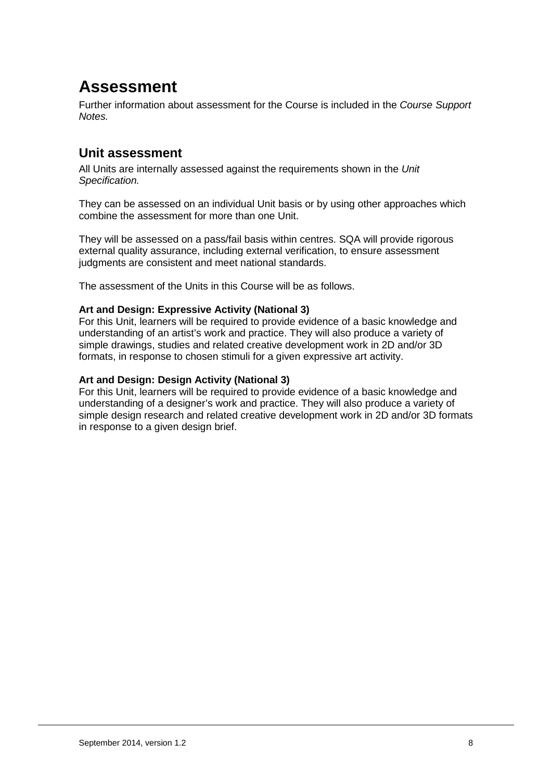## **Assessment**

Further information about assessment for the Course is included in the *Course Support Notes.* 

## **Unit assessment**

All Units are internally assessed against the requirements shown in the *Unit Specification.*

They can be assessed on an individual Unit basis or by using other approaches which combine the assessment for more than one Unit.

They will be assessed on a pass/fail basis within centres. SQA will provide rigorous external quality assurance, including external verification, to ensure assessment judgments are consistent and meet national standards.

The assessment of the Units in this Course will be as follows.

#### **Art and Design: Expressive Activity (National 3)**

For this Unit, learners will be required to provide evidence of a basic knowledge and understanding of an artist's work and practice. They will also produce a variety of simple drawings, studies and related creative development work in 2D and/or 3D formats, in response to chosen stimuli for a given expressive art activity.

#### **Art and Design: Design Activity (National 3)**

For this Unit, learners will be required to provide evidence of a basic knowledge and understanding of a designer's work and practice. They will also produce a variety of simple design research and related creative development work in 2D and/or 3D formats in response to a given design brief.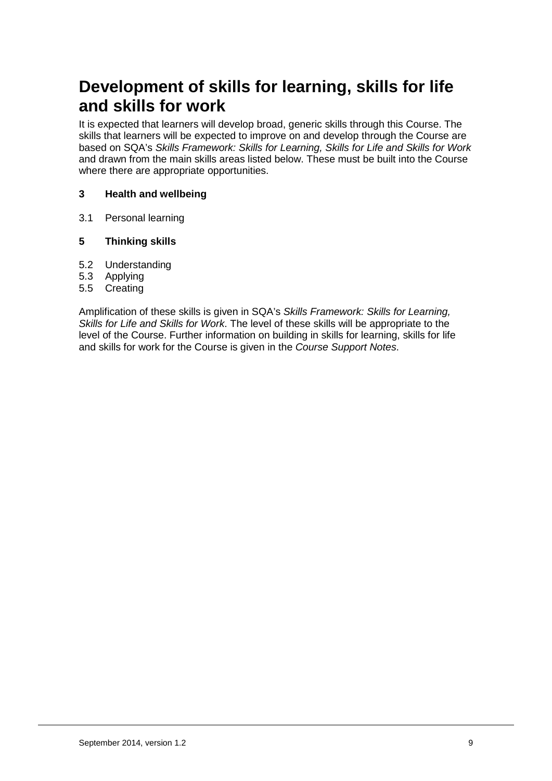## **Development of skills for learning, skills for life and skills for work**

It is expected that learners will develop broad, generic skills through this Course. The skills that learners will be expected to improve on and develop through the Course are based on SQA's *Skills Framework: Skills for Learning, Skills for Life and Skills for Work*  and drawn from the main skills areas listed below. These must be built into the Course where there are appropriate opportunities.

#### **3 Health and wellbeing**

3.1 Personal learning

#### **5 Thinking skills**

- 5.2 Understanding
- 5.3 Applying
- 5.5 Creating

Amplification of these skills is given in SQA's *Skills Framework: Skills for Learning, Skills for Life and Skills for Work*. The level of these skills will be appropriate to the level of the Course. Further information on building in skills for learning, skills for life and skills for work for the Course is given in the *Course Support Notes*.